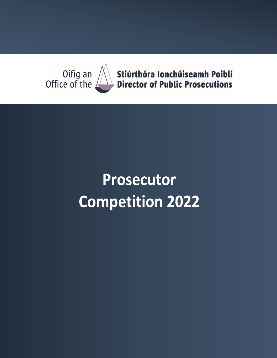

# **Prosecutor Competition 2022**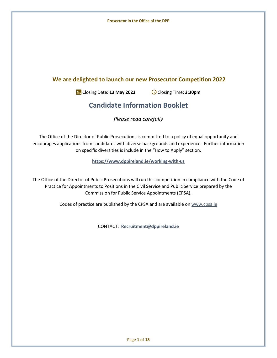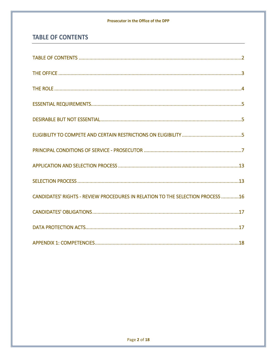#### Prosecutor in the Office of the DPP

## <span id="page-2-0"></span>**TABLE OF CONTENTS**

| CANDIDATES' RIGHTS - REVIEW PROCEDURES IN RELATION TO THE SELECTION PROCESS 16 |
|--------------------------------------------------------------------------------|
|                                                                                |
|                                                                                |
|                                                                                |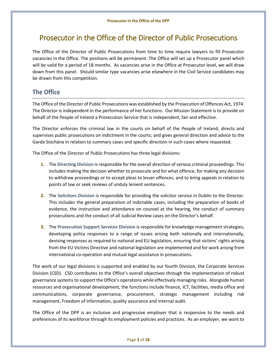# Prosecutor in the Office of the Director of Public Prosecutions

The Office of the Director of Public Prosecutions from time to time require lawyers to fill Prosecutor vacancies in the Office. The positions will be permanent. The Office will set up a Prosecutor panel which will be valid for a period of 18 months. As vacancies arise in the Office at Prosecutor level, we will draw down from this panel. Should similar type vacancies arise elsewhere in the Civil Service candidates may be drawn from this competition.

## <span id="page-3-0"></span>**The Office**

The Office of the Director of Public Prosecutions was established by the Prosecution of Offences Act, 1974. The Director is independent in the performance of her functions. Our Mission Statement is to provide on behalf of the People of Ireland a Prosecution Service that is independent, fair and effective.

The Director enforces the criminal law in the courts on behalf of the People of Ireland; directs and supervises public prosecutions on indictment in the courts; and gives general direction and advice to the Garda Síochána in relation to summary cases and specific direction in such cases where requested.

The Office of the Director of Public Prosecutions has three legal divisions:

- **1.** The **Directing Division** is responsible for the overall direction of serious criminal proceedings. This includes making the decision whether to prosecute and for what offence, for making any decision to withdraw proceedings or to accept pleas to lesser offences, and to bring appeals in relation to points of law or seek reviews of unduly lenient sentences.
- **2.** The **Solicitors Division** is responsible for providing the solicitor service in Dublin to the Director. This includes the general preparation of indictable cases, including the preparation of books of evidence, the instruction and attendance on counsel at the hearing, the conduct of summary prosecutions and the conduct of all Judicial Review cases on the Director's behalf.
- **3.** The **Prosecution Support Services Division** is responsible for knowledge management strategies, developing policy responses to a range of issues arising both nationally and internationally, devising responses as required to national and EU legislation, ensuring that victims' rights arising from the EU Victims Directive and national legislation are implemented and for work arising from international co-operation and mutual legal assistance in prosecutions.

The work of our legal divisions is supported and enabled by our fourth Division, the Corporate Services Division (CSD). CSD contributes to the Office's overall objectives through the implementation of robust governance systems to support the Office's operations while effectively managing risks. Alongside human resources and organisational development, the functions include finance, ICT, facilities, media office and communications, corporate governance, procurement, strategic management including risk management, Freedom of Information, quality assurance and internal audit.

The Office of the DPP is an inclusive and progressive employer that is responsive to the needs and preferences of its workforce through its employment policies and practices. As an employer, we want to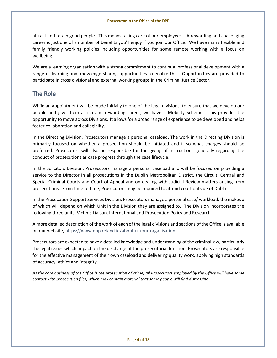attract and retain good people. This means taking care of our employees. A rewarding and challenging career is just one of a number of benefits you'll enjoy if you join our Office. We have many flexible and family friendly working policies including opportunities for some remote working with a focus on wellbeing.

We are a learning organisation with a strong commitment to continual professional development with a range of learning and knowledge sharing opportunities to enable this. Opportunities are provided to participate in cross divisional and external working groups in the Criminal Justice Sector.

## <span id="page-4-0"></span>**The Role**

While an appointment will be made initially to one of the legal divisions, to ensure that we develop our people and give them a rich and rewarding career, we have a Mobility Scheme. This provides the opportunity to move across Divisions. It allows for a broad range of experience to be developed and helps foster collaboration and collegiality.

In the Directing Division, Prosecutors manage a personal caseload. The work in the Directing Division is primarily focused on whether a prosecution should be initiated and if so what charges should be preferred. Prosecutors will also be responsible for the giving of instructions generally regarding the conduct of prosecutions as case progress through the case lifecycle.

In the Solicitors Division, Prosecutors manage a personal caseload and will be focused on providing a service to the Director in all prosecutions in the Dublin Metropolitan District, the Circuit, Central and Special Criminal Courts and Court of Appeal and on dealing with Judicial Review matters arising from prosecutions. From time to time, Prosecutors may be required to attend court outside of Dublin.

In the Prosecution Support Services Division, Prosecutors manage a personal case/ workload, the makeup of which will depend on which Unit in the Division they are assigned to. The Division incorporates the following three units, Victims Liaison, International and Prosecution Policy and Research.

A more detailed description of the work of each of the legal divisions and sections of the Office is available on our website,<https://www.dppireland.ie/about-us/our-organisation>

Prosecutors are expected to have a detailed knowledge and understanding of the criminal law, particularly the legal issues which impact on the discharge of the prosecutorial function. Prosecutors are responsible for the effective management of their own caseload and delivering quality work, applying high standards of accuracy, ethics and integrity.

*As the core business of the Office is the prosecution of crime, all Prosecutors employed by the Office will have some contact with prosecution files, which may contain material that some people will find distressing.*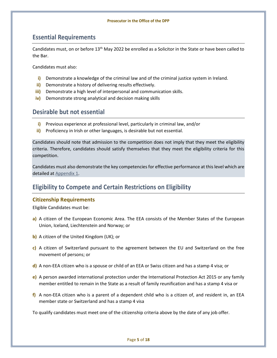## <span id="page-5-0"></span>**Essential Requirements**

Candidates must, on or before 13<sup>th</sup> May 2022 be enrolled as a Solicitor in the State or have been called to the Bar.

Candidates must also:

- **i)** Demonstrate a knowledge of the criminal law and of the criminal justice system in Ireland.
- **ii)** Demonstrate a history of delivering results effectively.
- **iii)** Demonstrate a high level of interpersonal and communication skills.
- **iv)** Demonstrate strong analytical and decision making skills

## <span id="page-5-1"></span>**Desirable but not essential**

- **i)** Previous experience at professional level, particularly in criminal law, and/or
- **ii)** Proficiency in Irish or other languages, is desirable but not essential.

Candidates should note that admission to the competition does not imply that they meet the eligibility criteria. Therefore, candidates should satisfy themselves that they meet the eligibility criteria for this competition.

Candidates must also demonstrate the key competencies for effective performance at this level which are detailed a[t Appendix 1.](#page-18-0)

## <span id="page-5-2"></span>**Eligibility to Compete and Certain Restrictions on Eligibility**

#### **Citizenship Requirements**

Eligible Candidates must be:

- **a)** A citizen of the European Economic Area. The EEA consists of the Member States of the European Union, Iceland, Liechtenstein and Norway; or
- **b)** A citizen of the United Kingdom (UK); or
- **c)** A citizen of Switzerland pursuant to the agreement between the EU and Switzerland on the free movement of persons; or
- **d)** A non-EEA citizen who is a spouse or child of an EEA or Swiss citizen and has a stamp 4 visa; or
- **e)** A person awarded international protection under the International Protection Act 2015 or any family member entitled to remain in the State as a result of family reunification and has a stamp 4 visa or
- **f)** A non-EEA citizen who is a parent of a dependent child who is a citizen of, and resident in, an EEA member state or Switzerland and has a stamp 4 visa

To qualify candidates must meet one of the citizenship criteria above by the date of any job offer.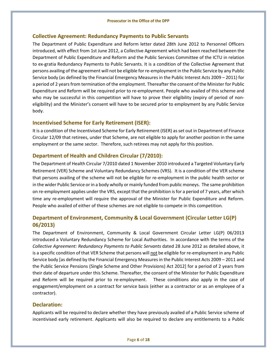#### **Collective Agreement: Redundancy Payments to Public Servants**

The Department of Public Expenditure and Reform letter dated 28th June 2012 to Personnel Officers introduced, with effect from 1st June 2012, a Collective Agreement which had been reached between the Department of Public Expenditure and Reform and the Public Services Committee of the ICTU in relation to ex-gratia Redundancy Payments to Public Servants. It is a condition of the Collective Agreement that persons availing of the agreement will not be eligible for re-employment in the Public Service by any Public Service body (as defined by the Financial Emergency Measures in the Public Interest Acts 2009 – 2011) for a period of 2 years from termination of the employment. Thereafter the consent of the Minister for Public Expenditure and Reform will be required prior to re-employment. People who availed of this scheme and who may be successful in this competition will have to prove their eligibility (expiry of period of noneligibility) and the Minister's consent will have to be secured prior to employment by any Public Service body.

#### **Incentivised Scheme for Early Retirement (ISER):**

It is a condition of the Incentivised Scheme for Early Retirement (ISER) as set out in Department of Finance Circular 12/09 that retirees, under that Scheme, are not eligible to apply for another position in the same employment or the same sector. Therefore, such retirees may not apply for this position.

#### **Department of Health and Children Circular (7/2010):**

The Department of Health Circular 7/2010 dated 1 November 2010 introduced a Targeted Voluntary Early Retirement (VER) Scheme and Voluntary Redundancy Schemes (VRS). It is a condition of the VER scheme that persons availing of the scheme will not be eligible for re-employment in the public health sector or in the wider Public Service or in a body wholly or mainly funded from public moneys. The same prohibition on re-employment applies under the VRS, except that the prohibition is for a period of 7 years, after which time any re-employment will require the approval of the Minister for Public Expenditure and Reform. People who availed of either of these schemes are not eligible to compete in this competition*.* 

### **Department of Environment, Community & Local Government (Circular Letter LG(P) 06/2013)**

The Department of Environment, Community & Local Government Circular Letter LG(P) 06/2013 introduced a Voluntary Redundancy Scheme for Local Authorities. In accordance with the terms of the *Collective Agreement: Redundancy Payments to Public Servants* dated 28 June 2012 as detailed above, it is a specific condition of that VER Scheme that persons will not be eligible for re-employment in any Public Service body [as defined by the Financial Emergency Measures in the Public Interest Acts 2009 – 2011 and the Public Service Pensions (Single Scheme and Other Provisions) Act 2012] for a period of 2 years from their date of departure under this Scheme. Thereafter, the consent of the Minister for Public Expenditure and Reform will be required prior to re-employment. These conditions also apply in the case of engagement/employment on a contract for service basis (either as a contractor or as an employee of a contractor).

#### **Declaration:**

Applicants will be required to declare whether they have previously availed of a Public Service scheme of incentivised early retirement. Applicants will also be required to declare any entitlements to a Public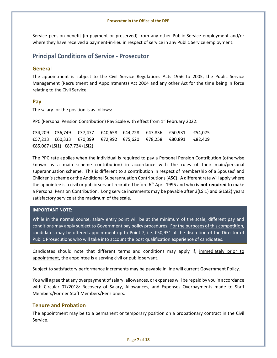Service pension benefit (in payment or preserved) from any other Public Service employment and/or where they have received a payment-in-lieu in respect of service in any Public Service employment.

## <span id="page-7-0"></span>**Principal Conditions of Service - Prosecutor**

#### **General**

The appointment is subject to the Civil Service Regulations Acts 1956 to 2005, the Public Service Management (Recruitment and Appointments) Act 2004 and any other Act for the time being in force relating to the Civil Service.

#### **Pay**

The salary for the position is as follows:

| PPC (Personal Pension Contribution) Pay Scale with effect from $1^{st}$ February 2022: |  |  |  |  |  |                                                                   |  |  |
|----------------------------------------------------------------------------------------|--|--|--|--|--|-------------------------------------------------------------------|--|--|
|                                                                                        |  |  |  |  |  | €34.209 €36.749 €37.477 €40.658 €44.728 €47.836 €50.931 €54.075   |  |  |
|                                                                                        |  |  |  |  |  | $£57.213$ €60.333 €70.399 €72.992 €75.620 €78.258 €80.891 €82.409 |  |  |
| €85,067 (LSI1) €87,734 (LSI2)                                                          |  |  |  |  |  |                                                                   |  |  |

The PPC rate applies when the individual is required to pay a Personal Pension Contribution (otherwise known as a main scheme contribution) in accordance with the rules of their main/personal superannuation scheme. This is different to a contribution in respect of membership of a Spouses' and Children's scheme or the Additional Superannuation Contributions (ASC). A different rate will apply where the appointee is a civil or public servant recruited before 6th April 1995 and who **is not required** to make a Personal Pension Contribution. Long service increments may be payable after 3(LSI1) and 6(LSI2) years satisfactory service at the maximum of the scale.

#### **IMPORTANT NOTE:**

While in the normal course, salary entry point will be at the minimum of the scale, different pay and conditions may apply subject to Government pay policy procedures. For the purposes of this competition, candidates may be offered appointment up to Point 7, i.e.  $\epsilon$ 50,931 at the discretion of the Director of Public Prosecutions who will take into account the post qualification experience of candidates.

Candidates should note that different terms and conditions may apply if, immediately prior to appointment, the appointee is a serving civil or public servant.

Subject to satisfactory performance increments may be payable in line will current Government Policy.

You will agree that any overpayment of salary, allowances, or expenses will be repaid by you in accordance with Circular 07/2018: Recovery of Salary, Allowances, and Expenses Overpayments made to Staff Members/Former Staff Members/Pensioners.

#### **Tenure and Probation**

The appointment may be to a permanent or temporary position on a probationary contract in the Civil Service.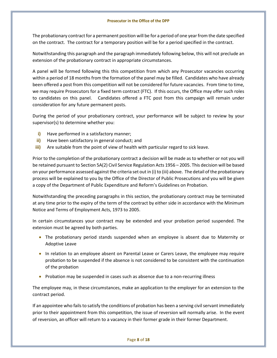#### **Prosecutor in the Office of the DPP**

The probationary contract for a permanent position will be for a period of one year from the date specified on the contract. The contract for a temporary position will be for a period specified in the contract.

Notwithstanding this paragraph and the paragraph immediately following below, this will not preclude an extension of the probationary contract in appropriate circumstances.

A panel will be formed following this this competition from which any Prosecutor vacancies occurring within a period of 18 months from the formation of the panel may be filled. Candidates who have already been offered a post from this competition will not be considered for future vacancies. From time to time, we may require Prosecutors for a fixed term contract (FTC). If this occurs, the Office may offer such roles to candidates on this panel. Candidates offered a FTC post from this campaign will remain under consideration for any future permanent posts.

During the period of your probationary contract, your performance will be subject to review by your supervisor(s) to determine whether you:

- **i)** Have performed in a satisfactory manner;
- **ii)** Have been satisfactory in general conduct; and
- **iii)** Are suitable from the point of view of health with particular regard to sick leave.

Prior to the completion of the probationary contract a decision will be made as to whether or not you will be retained pursuant to Section 5A(2) Civil Service Regulation Acts 1956 – 2005. This decision will be based on your performance assessed against the criteria set out in (i) to (iii) above. The detail of the probationary process will be explained to you by the Office of the Director of Public Prosecutions and you will be given a copy of the Department of Public Expenditure and Reform's Guidelines on Probation.

Notwithstanding the preceding paragraphs in this section, the probationary contract may be terminated at any time prior to the expiry of the term of the contract by either side in accordance with the Minimum Notice and Terms of Employment Acts, 1973 to 2005.

In certain circumstances your contract may be extended and your probation period suspended. The extension must be agreed by both parties.

- The probationary period stands suspended when an employee is absent due to Maternity or Adoptive Leave
- In relation to an employee absent on Parental Leave or Carers Leave, the employee may require probation to be suspended if the absence is not considered to be consistent with the continuation of the probation
- Probation may be suspended in cases such as absence due to a non-recurring illness

The employee may, in these circumstances, make an application to the employer for an extension to the contract period.

If an appointee who fails to satisfy the conditions of probation has been a serving civil servant immediately prior to their appointment from this competition, the issue of reversion will normally arise. In the event of reversion, an officer will return to a vacancy in their former grade in their former Department.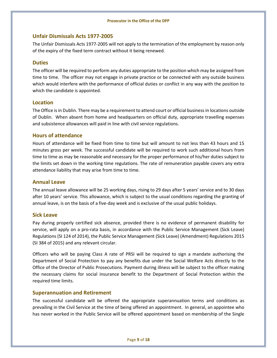#### **Unfair Dismissals Acts 1977-2005**

The Unfair Dismissals Acts 1977-2005 will not apply to the termination of the employment by reason only of the expiry of the fixed term contract without it being renewed.

#### **Duties**

The officer will be required to perform any duties appropriate to the position which may be assigned from time to time. The officer may not engage in private practice or be connected with any outside business which would interfere with the performance of official duties or conflict in any way with the position to which the candidate is appointed.

#### **Location**

The Office is in Dublin. There may be a requirement to attend court or official business in locations outside of Dublin. When absent from home and headquarters on official duty, appropriate travelling expenses and subsistence allowances will paid in line with civil service regulations.

#### **Hours of attendance**

Hours of attendance will be fixed from time to time but will amount to not less than 43 hours and 15 minutes gross per week. The successful candidate will be required to work such additional hours from time to time as may be reasonable and necessary for the proper performance of his/her duties subject to the limits set down in the working time regulations. The rate of remuneration payable covers any extra attendance liability that may arise from time to time.

#### **Annual Leave**

The annual leave allowance will be 25 working days, rising to 29 days after 5 years' service and to 30 days after 10 years' service. This allowance, which is subject to the usual conditions regarding the granting of annual leave, is on the basis of a five-day week and is exclusive of the usual public holidays.

#### **Sick Leave**

Pay during properly certified sick absence, provided there is no evidence of permanent disability for service, will apply on a pro-rata basis, in accordance with the Public Service Management (Sick Leave) Regulations (SI 124 of 2014), the Public Service Management (Sick Leave) (Amendment) Regulations 2015 (SI 384 of 2015) and any relevant circular.

Officers who will be paying Class A rate of PRSI will be required to sign a mandate authorising the Department of Social Protection to pay any benefits due under the Social Welfare Acts directly to the Office of the Director of Public Prosecutions. Payment during illness will be subject to the officer making the necessary claims for social insurance benefit to the Department of Social Protection within the required time limits.

#### **Superannuation and Retirement**

The successful candidate will be offered the appropriate superannuation terms and conditions as prevailing in the Civil Service at the time of being offered an appointment. In general, an appointee who has never worked in the Public Service will be offered appointment based on membership of the Single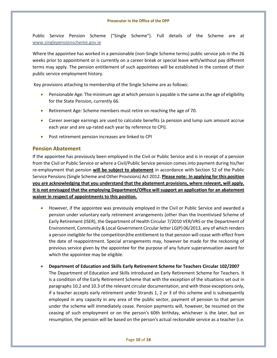Public Service Pension Scheme ("Single Scheme"). Full details of the Scheme are at [www.singlepensionscheme.gov.ie](http://www.singlepensionscheme.gov.ie/)

Where the appointee has worked in a pensionable (non-Single Scheme terms) public service job in the 26 weeks prior to appointment or is currently on a career break or special leave with/without pay different terms may apply. The pension entitlement of such appointees will be established in the context of their public service employment history.

Key provisions attaching to membership of the Single Scheme are as follows:

- Pensionable Age: The minimum age at which pension is payable is the same as the age of eligibility for the State Pension, currently 66.
- Retirement Age: Scheme members must retire on reaching the age of 70.
- Career average earnings are used to calculate benefits (a pension and lump sum amount accrue each year and are up-rated each year by reference to CPI).
- Post retirement pension increases are linked to CPI

#### **Pension Abatement**

If the appointee has previously been employed in the Civil or Public Service and is in receipt of a pension from the Civil or Public Service or where a Civil/Public Service pension comes into payment during his/her re-employment that pension **will be subject to abatement** in accordance with Section 52 of the Public Service Pensions (Single Scheme and Other Provisions) Act 2012. **Please note: In applying for this position you are acknowledging that you understand that the abatement provisions, where relevant, will apply. It is not envisaged that the employing Department/Office will support an application for an abatement waiver in respect of appointments to this position.**

- However, if the appointee was previously employed in the Civil or Public Service and awarded a pension under voluntary early retirement arrangements (other than the Incentivised Scheme of Early Retirement (ISER), the Department of Health Circular 7/2010 VER/VRS or the Department of Environment, Community & Local Government Circular letter LG(P) 06/2013, any of which renders a person ineligible for the competition)the entitlement to that pension will cease with effect from the date of reappointment. Special arrangements may, however be made for the reckoning of previous service given by the appointee for the purpose of any future superannuation award for which the appointee may be eligible.
- **Department of Education and Skills Early Retirement Scheme for Teachers Circular 102/2007**

The Department of Education and Skills introduced an Early Retirement Scheme for Teachers. It is a condition of the Early Retirement Scheme that with the exception of the situations set out in paragraphs 10.2 and 10.3 of the relevant circular documentation, and with those exceptions only, if a teacher accepts early retirement under Strands 1, 2 or 3 of this scheme and is subsequently employed in any capacity in any area of the public sector, payment of pension to that person under the scheme will immediately cease. Pension payments will, however, be resumed on the ceasing of such employment or on the person's 60th birthday, whichever is the later, but on resumption, the pension will be based on the person's actual reckonable service as a teacher (i.e.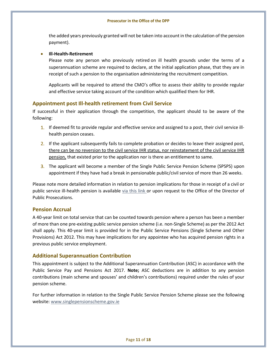#### **Prosecutor in the Office of the DPP**

the added years previously granted will not be taken into account in the calculation of the pension payment).

#### • **Ill-Health-Retirement**

Please note any person who previously retired on ill health grounds under the terms of a superannuation scheme are required to declare, at the initial application phase, that they are in receipt of such a pension to the organisation administering the recruitment competition.

Applicants will be required to attend the CMO's office to assess their ability to provide regular and effective service taking account of the condition which qualified them for IHR.

#### **Appointment post Ill-health retirement from Civil Service**

If successful in their application through the competition, the applicant should to be aware of the following:

- 1. If deemed fit to provide regular and effective service and assigned to a post, their civil service illhealth pension ceases.
- 2. If the applicant subsequently fails to complete probation or decides to leave their assigned post, there can be no reversion to the civil service IHR status, nor reinstatement of the civil service IHR pension, that existed prior to the application nor is there an entitlement to same.
- 3. The applicant will become a member of the Single Public Service Pension Scheme (SPSPS) upon appointment if they have had a break in pensionable public/civil service of more than 26 weeks.

Please note more detailed information in relation to pension implications for those in receipt of a civil or public service ill-health pension is available [via this link](https://hr.per.gov.ie/wp-content/uploads/2020/06/Ill-Health-Retirement-linked-document.pdf) or upon request to the Office of the Director of Public Prosecutions.

#### **Pension Accrual**

A 40-year limit on total service that can be counted towards pension where a person has been a member of more than one pre-existing public service pension scheme (i.e. non-Single Scheme) as per the 2012 Act shall apply. This 40-year limit is provided for in the Public Service Pensions (Single Scheme and Other Provisions) Act 2012. This may have implications for any appointee who has acquired pension rights in a previous public service employment.

#### **Additional Superannuation Contribution**

This appointment is subject to the Additional Superannuation Contribution (ASC) in accordance with the Public Service Pay and Pensions Act 2017. **Note;** ASC deductions are in addition to any pension contributions (main scheme and spouses' and children's contributions) required under the rules of your pension scheme.

For further information in relation to the Single Public Service Pension Scheme please see the following website[: www.singlepensionscheme.gov.ie](http://www.singlepensionscheme.gov.ie/)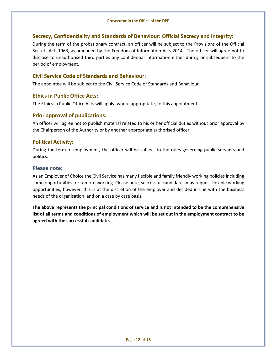#### **Secrecy, Confidentiality and Standards of Behaviour: Official Secrecy and Integrity:**

During the term of the probationary contract, an officer will be subject to the Provisions of the Official Secrets Act, 1963, as amended by the Freedom of Information Acts 2014. The officer will agree not to disclose to unauthorised third parties any confidential information either during or subsequent to the period of employment.

#### **Civil Service Code of Standards and Behaviour:**

The appointee will be subject to the Civil Service Code of Standards and Behaviour.

#### **Ethics in Public Office Acts:**

The Ethics in Public Office Acts will apply, where appropriate, to this appointment.

#### **Prior approval of publications:**

An officer will agree not to publish material related to his or her official duties without prior approval by the Chairperson of the Authority or by another appropriate authorised officer.

#### **Political Activity:**

During the term of employment, the officer will be subject to the rules governing public servants and politics.

#### **Please note:**

As an Employer of Choice the Civil Service has many flexible and family friendly working policies including some opportunities for remote working. Please note, successful candidates may request flexible working opportunities, however, this is at the discretion of the employer and decided in line with the business needs of the organisation, and on a case by case basis.

**The above represents the principal conditions of service and is not intended to be the comprehensive list of all terms and conditions of employment which will be set out in the employment contract to be agreed with the successful candidate.**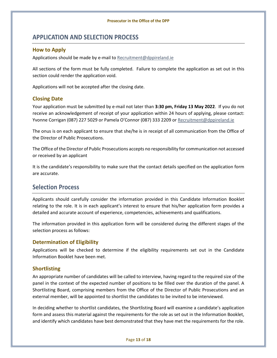## <span id="page-13-0"></span>**APPLICATION AND SELECTION PROCESS**

#### **How to Apply**

Applications should be made by e-mail to [Recruitment@dppireland.ie](mailto:Recruitment@dppireland.ie) 

All sections of the form must be fully completed. Failure to complete the application as set out in this section could render the application void.

Applications will not be accepted after the closing date.

#### **Closing Date**

Your application must be submitted by e-mail not later than **3:30 pm, Friday 13 May 2022**. If you do not receive an acknowledgement of receipt of your application within 24 hours of applying, please contact: Yvonne Corrigan (087) 227 5029 or Pamela O'Connor (087) 333 2209 or [Recruitment@dppireland.ie](mailto:Recruitment@dppireland.ie)

The onus is on each applicant to ensure that she/he is in receipt of all communication from the Office of the Director of Public Prosecutions.

The Office of the Director of Public Prosecutions accepts no responsibility for communication not accessed or received by an applicant

It is the candidate's responsibility to make sure that the contact details specified on the application form are accurate.

## <span id="page-13-1"></span>**Selection Process**

Applicants should carefully consider the information provided in this Candidate Information Booklet relating to the role. It is in each applicant's interest to ensure that his/her application form provides a detailed and accurate account of experience, competencies, achievements and qualifications.

The information provided in this application form will be considered during the different stages of the selection process as follows:

#### **Determination of Eligibility**

Applications will be checked to determine if the eligibility requirements set out in the Candidate Information Booklet have been met.

#### **Shortlisting**

An appropriate number of candidates will be called to interview, having regard to the required size of the panel in the context of the expected number of positions to be filled over the duration of the panel. A Shortlisting Board, comprising members from the Office of the Director of Public Prosecutions and an external member, will be appointed to shortlist the candidates to be invited to be interviewed.

In deciding whether to shortlist candidates, the Shortlisting Board will examine a candidate's application form and assess this material against the requirements for the role as set out in the Information Booklet, and identify which candidates have best demonstrated that they have met the requirements for the role.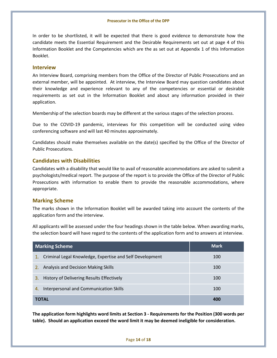In order to be shortlisted, it will be expected that there is good evidence to demonstrate how the candidate meets the Essential Requirement and the Desirable Requirements set out at page 4 of this Information Booklet and the Competencies which are the as set out at Appendix 1 of this Information Booklet.

#### **Interview**

An Interview Board, comprising members from the Office of the Director of Public Prosecutions and an external member, will be appointed. At interview, the Interview Board may question candidates about their knowledge and experience relevant to any of the competencies or essential or desirable requirements as set out in the Information Booklet and about any information provided in their application.

Membership of the selection boards may be different at the various stages of the selection process.

Due to the COVID-19 pandemic, interviews for this competition will be conducted using video conferencing software and will last 40 minutes approximately.

Candidates should make themselves available on the date(s) specified by the Office of the Director of Public Prosecutions.

#### **Candidates with Disabilities**

Candidates with a disability that would like to avail of reasonable accommodations are asked to submit a psychologists/medical report. The purpose of the report is to provide the Office of the Director of Public Prosecutions with information to enable them to provide the reasonable accommodations, where appropriate.

#### **Marking Scheme**

The marks shown in the Information Booklet will be awarded taking into account the contents of the application form and the interview.

All applicants will be assessed under the four headings shown in the table below. When awarding marks, the selection board will have regard to the contents of the application form and to answers at interview.

| <b>Marking Scheme</b>                                          | <b>Mark</b> |
|----------------------------------------------------------------|-------------|
| Criminal Legal Knowledge, Expertise and Self Development<br>1. | 100         |
| Analysis and Decision Making Skills<br>2.                      | 100         |
| 3.<br>History of Delivering Results Effectively                | 100         |
| Interpersonal and Communication Skills<br>4.                   | 100         |
| <b>TOTAL</b>                                                   | 400         |

**The application form highlights word limits at Section 3 - Requirements for the Position (300 words per table). Should an application exceed the word limit it may be deemed ineligible for consideration.**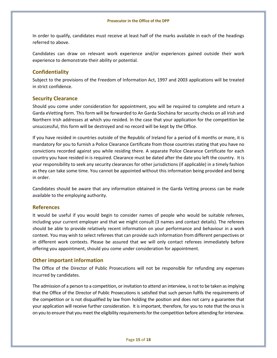In order to qualify, candidates must receive at least half of the marks available in each of the headings referred to above.

Candidates can draw on relevant work experience and/or experiences gained outside their work experience to demonstrate their ability or potential.

#### **Confidentiality**

Subject to the provisions of the Freedom of Information Act, 1997 and 2003 applications will be treated in strict confidence.

#### **Security Clearance**

Should you come under consideration for appointment, you will be required to complete and return a Garda eVetting form. This form will be forwarded to An Garda Síochána for security checks on all Irish and Northern Irish addresses at which you resided. In the case that your application for the competition be unsuccessful, this form will be destroyed and no record will be kept by the Office.

If you have resided in countries outside of the Republic of Ireland for a period of 6 months or more, it is mandatory for you to furnish a Police Clearance Certificate from those countries stating that you have no convictions recorded against you while residing there. A separate Police Clearance Certificate for each country you have resided in is required. Clearance must be dated after the date you left the country. It is your responsibility to seek any security clearances for other jurisdictions (if applicable) in a timely fashion as they can take some time. You cannot be appointed without this information being provided and being in order.

Candidates should be aware that any information obtained in the Garda Vetting process can be made available to the employing authority.

#### **References**

It would be useful if you would begin to consider names of people who would be suitable referees, including your current employer and that we might consult (3 names and contact details). The referees should be able to provide relatively recent information on your performance and behaviour in a work context. You may wish to select referees that can provide such information from different perspectives or in different work contexts. Please be assured that we will only contact referees immediately before offering you appointment, should you come under consideration for appointment.

#### **Other important information**

The Office of the Director of Public Prosecutions will not be responsible for refunding any expenses incurred by candidates.

The admission of a person to a competition, or invitation to attend an interview, is not to be taken as implying that the Office of the Director of Public Prosecutions is satisfied that such person fulfils the requirements of the competition or is not disqualified by law from holding the position and does not carry a guarantee that your application will receive further consideration. It is important, therefore, for you to note that the onus is on you to ensure that you meet the eligibility requirements for the competition before attending for interview.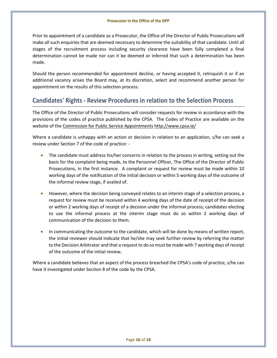Prior to appointment of a candidate as a Prosecutor, the Office of the Director of Public Prosecutions will make all such enquiries that are deemed necessary to determine the suitability of that candidate. Until all stages of the recruitment process including security clearance have been fully completed a final determination cannot be made nor can it be deemed or inferred that such a determination has been made.

Should the person recommended for appointment decline, or having accepted it, relinquish it or if an additional vacancy arises the Board may, at its discretion, select and recommend another person for appointment on the results of this selection process.

## <span id="page-16-0"></span>**Candidates' Rights - Review Procedures in relation to the Selection Process**

The Office of the Director of Public Prosecutions will consider requests for review in accordance with the provisions of the codes of practice published by the CPSA. The Codes of Practice are available on the website of the Commission for Public Service Appointments htt[p://www.cpsa.ie/](http://www.cpsa.ie/) 

Where a candidate is unhappy with an action or decision in relation to an application, s/he can seek a review under Section 7 of the code of practice: -

- The candidate must address his/her concerns in relation to the process in writing, setting out the basis for the complaint being made, to the Personnel Officer, The Office of the Director of Public Prosecutions, in the first instance. A complaint or request for review must be made within 10 working days of the notification of the initial decision or within 5 working days of the outcome of the informal review stage, if availed of.
- However, where the decision being conveyed relates to an interim stage of a selection process, a request for review must be received within 4 working days of the date of receipt of the decision or within 2 working days of receipt of a decision under the informal process; candidates electing to use the informal process at the interim stage must do so within 2 working days of communication of the decision to them.
- In communicating the outcome to the candidate, which will be done by means of written report, the initial reviewer should indicate that he/she may seek further review by referring the matter to the Decision Arbitrator and that a request to do so must be made with 7 working days of receipt of the outcome of the initial review**.**

Where a candidate believes that an aspect of the process breached the CPSA's code of practice, s/he can have it investigated under Section 8 of the code by the CPSA.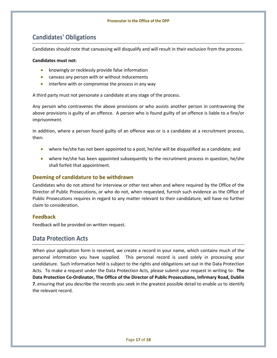# <span id="page-17-0"></span>**Candidates' Obligations**

Candidates should note that canvassing will disqualify and will result in their exclusion from the process.

#### **Candidates must not:**

- knowingly or recklessly provide false information
- canvass any person with or without inducements
- interfere with or compromise the process in any way

A third party must not personate a candidate at any stage of the process.

Any person who contravenes the above provisions or who assists another person in contravening the above provisions is guilty of an offence. A person who is found guilty of an offence is liable to a fine/or imprisonment.

In addition, where a person found guilty of an offence was or is a candidate at a recruitment process, then:

- where he/she has not been appointed to a post, he/she will be disqualified as a candidate; and
- where he/she has been appointed subsequently to the recruitment process in question, he/she shall forfeit that appointment.

#### **Deeming of candidature to be withdrawn**

Candidates who do not attend for interview or other test when and where required by the Office of the Director of Public Prosecutions, or who do not, when requested, furnish such evidence as the Office of Public Prosecutions requires in regard to any matter relevant to their candidature, will have no further claim to consideration.

#### **Feedback**

Feedback will be provided on written request.

## <span id="page-17-1"></span>**Data Protection Acts**

When your application form is received, we create a record in your name, which contains much of the personal information you have supplied. This personal record is used solely in processing your candidature. Such information held is subject to the rights and obligations set out in the Data Protection Acts. To make a request under the Data Protection Acts, please submit your request in writing to: **The Data Protection Co-Ordinator, The Office of the Director of Public Prosecutions, Infirmary Road, Dublin 7**, ensuring that you describe the records you seek in the greatest possible detail to enable us to identify the relevant record.